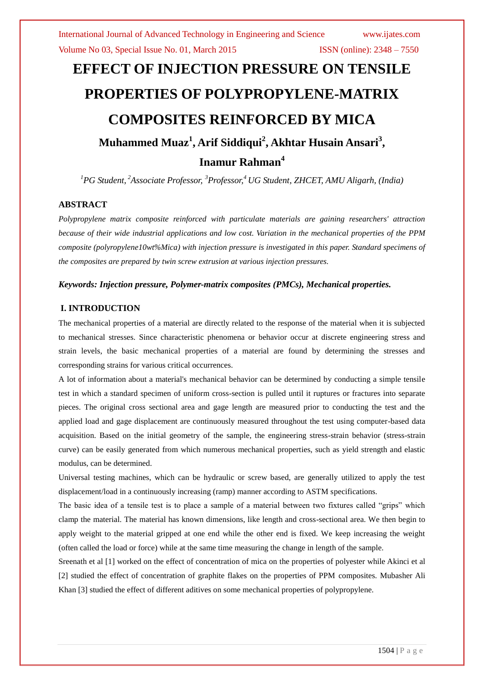# **EFFECT OF INJECTION PRESSURE ON TENSILE PROPERTIES OF POLYPROPYLENE-MATRIX COMPOSITES REINFORCED BY MICA Muhammed Muaz<sup>1</sup> , Arif Siddiqui<sup>2</sup> , Akhtar Husain Ansari<sup>3</sup> , Inamur Rahman<sup>4</sup>**

*<sup>1</sup>PG Student, <sup>2</sup>Associate Professor, <sup>3</sup>Professor, <sup>4</sup> UG Student, ZHCET, AMU Aligarh, (India)*

#### **ABSTRACT**

*Polypropylene matrix composite reinforced with particulate materials are gaining researchers' attraction because of their wide industrial applications and low cost. Variation in the mechanical properties of the PPM composite (polyropylene10wt%Mica) with injection pressure is investigated in this paper. Standard specimens of the composites are prepared by twin screw extrusion at various injection pressures.*

#### *Keywords: Injection pressure, Polymer-matrix composites (PMCs), Mechanical properties.*

#### **I. INTRODUCTION**

The mechanical properties of a material are directly related to the response of the material when it is subjected to mechanical stresses. Since characteristic phenomena or behavior occur at discrete engineering stress and strain levels, the basic mechanical properties of a material are found by determining the stresses and corresponding strains for various critical occurrences.

A lot of information about a material's mechanical behavior can be determined by conducting a simple tensile test in which a standard specimen of uniform cross-section is pulled until it ruptures or fractures into separate pieces. The original cross sectional area and gage length are measured prior to conducting the test and the applied load and gage displacement are continuously measured throughout the test using computer-based data acquisition. Based on the initial geometry of the sample, the engineering stress-strain behavior (stress-strain curve) can be easily generated from which numerous mechanical properties, such as yield strength and elastic modulus, can be determined.

Universal testing machines, which can be hydraulic or screw based, are generally utilized to apply the test displacement/load in a continuously increasing (ramp) manner according to ASTM specifications.

The basic idea of a tensile test is to place a sample of a material between two fixtures called "grips" which clamp the material. The material has known dimensions, like length and cross-sectional area. We then begin to apply weight to the material gripped at one end while the other end is fixed. We keep increasing the weight (often called the load or force) while at the same time measuring the change in length of the sample.

Sreenath et al [1] worked on the effect of concentration of mica on the properties of polyester while Akinci et al [2] studied the effect of concentration of graphite flakes on the properties of PPM composites. Mubasher Ali Khan [3] studied the effect of different aditives on some mechanical properties of polypropylene.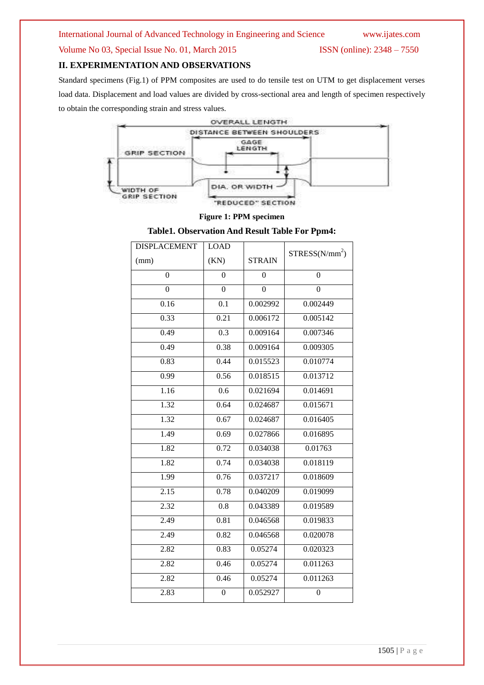#### Volume No 03, Special Issue No. 01, March 2015 **ISSN** (online): 2348 – 7550

#### **II. EXPERIMENTATION AND OBSERVATIONS**

Standard specimens (Fig.1) of PPM composites are used to do tensile test on UTM to get displacement verses load data. Displacement and load values are divided by cross-sectional area and length of specimen respectively to obtain the corresponding strain and stress values.



#### **Figure 1: PPM specimen**

#### **Table1. Observation And Result Table For Ppm4:**

| <b>DISPLACEMENT</b> | <b>LOAD</b>      |                |                            |
|---------------------|------------------|----------------|----------------------------|
| (mm)                | (KN)             | <b>STRAIN</b>  | STRESS(N/mm <sup>2</sup> ) |
| $\overline{0}$      | $\theta$         | $\overline{0}$ | $\overline{0}$             |
| $\boldsymbol{0}$    | $\boldsymbol{0}$ | $\overline{0}$ | $\boldsymbol{0}$           |
| 0.16                | 0.1              | 0.002992       | 0.002449                   |
| 0.33                | 0.21             | 0.006172       | 0.005142                   |
| 0.49                | 0.3              | 0.009164       | 0.007346                   |
| 0.49                | 0.38             | 0.009164       | 0.009305                   |
| 0.83                | 0.44             | 0.015523       | 0.010774                   |
| 0.99                | 0.56             | 0.018515       | 0.013712                   |
| 1.16                | 0.6              | 0.021694       | 0.014691                   |
| 1.32                | 0.64             | 0.024687       | 0.015671                   |
| 1.32                | 0.67             | 0.024687       | 0.016405                   |
| 1.49                | 0.69             | 0.027866       | 0.016895                   |
| 1.82                | 0.72             | 0.034038       | 0.01763                    |
| 1.82                | 0.74             | 0.034038       | 0.018119                   |
| 1.99                | 0.76             | 0.037217       | 0.018609                   |
| 2.15                | 0.78             | 0.040209       | 0.019099                   |
| 2.32                | 0.8              | 0.043389       | 0.019589                   |
| 2.49                | 0.81             | 0.046568       | 0.019833                   |
| 2.49                | 0.82             | 0.046568       | 0.020078                   |
| 2.82                | 0.83             | 0.05274        | 0.020323                   |
| 2.82                | 0.46             | 0.05274        | 0.011263                   |
| 2.82                | 0.46             | 0.05274        | 0.011263                   |
| 2.83                | $\boldsymbol{0}$ | 0.052927       | $\boldsymbol{0}$           |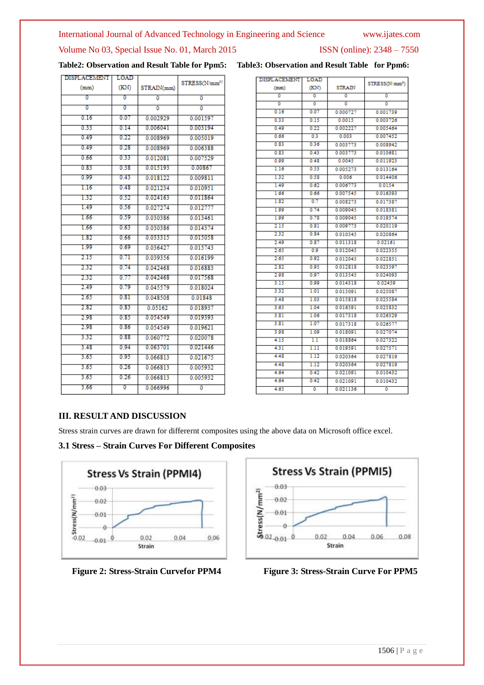#### International Journal of Advanced Technology in Engineering and Science www.ijates.com

### Volume No 03, Special Issue No. 01, March 2015 **ISSN** (online): 2348 – 7550

|  | Table2: Observation and Result Table for Ppm5: Table3: Observation and Result Table for Ppm6: |  |
|--|-----------------------------------------------------------------------------------------------|--|

| <b>DISPLACEMENT</b> | LOAD |            |                           |
|---------------------|------|------------|---------------------------|
| (mm)                | (KN) | STRAIN(mm) | STRESS(N/mm <sup>2)</sup> |
| σ                   | σ    | ō          | ٥                         |
| σ                   | Ō    | ō          | $\overline{0}$            |
| 0.16                | 0.07 | 0.002929   | 0.001597                  |
| 0.33                | 0.14 | 0.006041   | 0.003194                  |
| 0.49                | 0.22 | 0.008969   | 0.005019                  |
| 0.49                | 0.28 | 0.008969   | 0.006388                  |
| 0.66                | 0.33 | 0.012081   | 0.007529                  |
| 0.83                | 0.38 | 0.015193   | 0.00867                   |
| 0.99                | 0.43 | 0.018122   | 0.009811                  |
| 1.16                | 0.48 | 0.021234   | 0.010951                  |
| 132                 | 0.52 | 0.024163   | 0.011864                  |
| 1.49                | 0.56 | 0.027274   | 0.012777                  |
| 1.66                | 0.59 | 0.030386   | 0.013461                  |
| 1.66                | 0.63 | 0.030386   | 0.014374                  |
| 1.82                | 0.66 | 0.033315   | 0.015058                  |
| 1.99                | 0.69 | 0.036427   | 0.015743                  |
| 2.15                | 0.71 | 0.039356   | 0.016199                  |
| 2.32                | 0.74 | 0 042468   | 0016883                   |
| 2.32                | 0.77 | 0.042468   | 0.017568                  |
| 2.49                | 0.79 | 0.045579   | 0.018024                  |
| 2.65                | 0.81 | 0.048508   | 0.01848                   |
| 2.82                | 0.83 | 0.05162    | 0.018937                  |
| 2.98                | 0.85 | 0.054549   | 0.019393                  |
| 2.98                | 0.86 | 0.054549   | 0.019621                  |
| 3.32                | 0.88 | 0.060772   | 0.020078                  |
| 3.48                | 0.94 | 0.063701   | 0.021446                  |
| 3.65                | 0.95 | 0.066813   | 0.021675                  |
| 3.65                | 0.26 | 0.066813   | 0.005932                  |
| 3.65                | 0.26 | 0.066813   | 0.005932                  |
| 3.66                | σ    | 0.066996   | $\overline{0}$            |
|                     |      |            |                           |

|  | Table3: Observation and Result Table for Ppm6: |  |  |  |
|--|------------------------------------------------|--|--|--|
|--|------------------------------------------------|--|--|--|

| <b>DISPLACEMENT</b> | LOAD |               |                            |
|---------------------|------|---------------|----------------------------|
| (mm)                | (KN) | <b>STRAIN</b> | STRESS(N/mm <sup>2</sup> ) |
| ō                   | ō    | ō             | ۵                          |
| ٥                   | ٥    | ٥             | ٥                          |
| 0.16                | 0.07 | 0.000727      | 0.001739                   |
| 0.33                | 0.15 | 0.0015        | 0.003726                   |
| 0.49                | 0.22 | 0.002227      | 0.005464                   |
| 0.66                | 0.3  | 0.003         | 0.007452                   |
| 0.83                | 0.36 | 0.003773      | 0.008942                   |
| 0.83                | 0.43 | 0.003773      | 0.010681                   |
| 0.99                | 0.48 | 0.0045        | 0.011923                   |
| 1.16                | 0.53 | 0.005273      | 0.013164                   |
| 132                 | 0.58 | 0.006         | 0.014406                   |
| 1.49                | 0.62 | 0.006773      | 0.0154                     |
| 1.66                | 0.66 | 0.007545      | 0.016393                   |
| 1.82                | 0.7  | 0.008273      | 0.017387                   |
| 1.99                | 0.74 | 0.009045      | 0.018381                   |
| 1.99                | 0.78 | 0.009045      | 0.019374                   |
| 2.15                | 0.81 | 0.009773      | 0.020119                   |
| 2.32                | 0.84 | 0.010545      | 0.020864                   |
| 2.49                | 0.87 | 0.011318      | 0.02161                    |
| 2.65                | 0.9  | 0.012045      | 0.022355                   |
| 2.65                | 0.92 | 0.012045      | 0.022851                   |
| 2.82                | 0.95 | 0.012818      | 0.023597                   |
| 2.98                | 0.97 | 0.013545      | 0.024093                   |
| 3.15                | 0.99 | 0.014318      | 0.02459                    |
| 3.32                | 1.01 | 0.015091      | 0.025087                   |
| 3.48                | 1.03 | 0.015818      | 0.025584                   |
| 3.65                | 1.04 | 0.016591      | 0.025832                   |
| 3.81                | 1.06 | 0.017318      | 0.026329                   |
| 3.81                | 1.07 | 0.017318      | 0.026577                   |
| 3.98                | 1.09 | 0.018091      | 0.027074                   |
| 4.15                | 1.1  | 0.018864      | 0.027322                   |
| 4.31                | 1.11 | 0.019591      | 0.027571                   |
| 4.48                | 1.12 | 0.020364      | 0.027819                   |
| 4.48                | 1.12 | 0.020364      | 0.027819                   |
| 4.64                | 0.42 | 0.021091      | 0.010432                   |
| 4.64                | 0.42 | 0.021091      | 0.010432                   |
| 4.65                | ō    | 0021136       | ō                          |

#### **III. RESULT AND DISCUSSION**

Stress strain curves are drawn for differernt composites using the above data on Microsoft office excel.

#### **3.1 Stress – Strain Curves For Different Composites**





 **Figure 2: Stress-Strain Curvefor PPM4 Figure 3: Stress-Strain Curve For PPM5**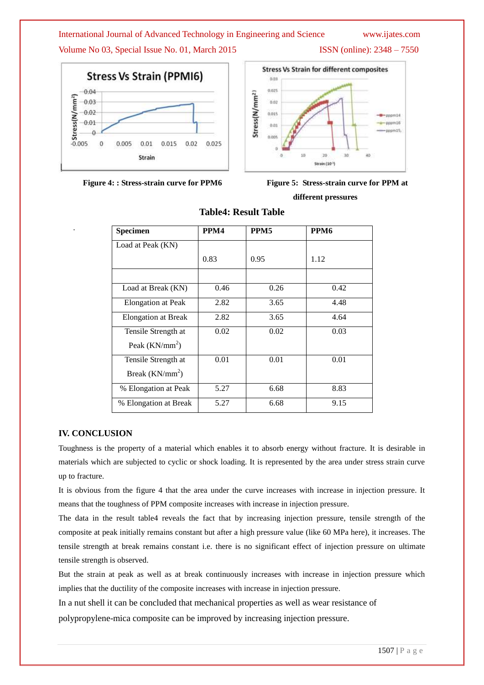#### International Journal of Advanced Technology in Engineering and Science www.ijates.com

Volume No 03, Special Issue No. 01, March 2015 **ISSN** (online): 2348 – 7550





 **Figure 4: : Stress-strain curve for PPM6 Figure 5: Stress-strain curve for PPM at** 



 **different pressures**

| <b>Specimen</b>            | PPM4 | PPM <sub>5</sub> | PPM6 |
|----------------------------|------|------------------|------|
| Load at Peak (KN)          |      |                  |      |
|                            | 0.83 | 0.95             | 1.12 |
|                            |      |                  |      |
| Load at Break (KN)         | 0.46 | 0.26             | 0.42 |
| Elongation at Peak         | 2.82 | 3.65             | 4.48 |
| <b>Elongation at Break</b> | 2.82 | 3.65             | 4.64 |
| Tensile Strength at        | 0.02 | 0.02             | 0.03 |
| Peak $(KN/mm^2)$           |      |                  |      |
| Tensile Strength at        | 0.01 | 0.01             | 0.01 |
| Break $(KN/mm^2)$          |      |                  |      |
| % Elongation at Peak       | 5.27 | 6.68             | 8.83 |
| % Elongation at Break      | 5.27 | 6.68             | 9.15 |

### **Table4: Result Table**

#### **IV. CONCLUSION**

.

Toughness is the property of a material which enables it to absorb energy without fracture. It is desirable in materials which are subjected to cyclic or shock loading. It is represented by the area under stress strain curve up to fracture.

It is obvious from the figure 4 that the area under the curve increases with increase in injection pressure. It means that the toughness of PPM composite increases with increase in injection pressure.

The data in the result table4 reveals the fact that by increasing injection pressure, tensile strength of the composite at peak initially remains constant but after a high pressure value (like 60 MPa here), it increases. The tensile strength at break remains constant i.e. there is no significant effect of injection pressure on ultimate tensile strength is observed.

But the strain at peak as well as at break continuously increases with increase in injection pressure which implies that the ductility of the composite increases with increase in injection pressure.

In a nut shell it can be concluded that mechanical properties as well as wear resistance of

polypropylene-mica composite can be improved by increasing injection pressure.